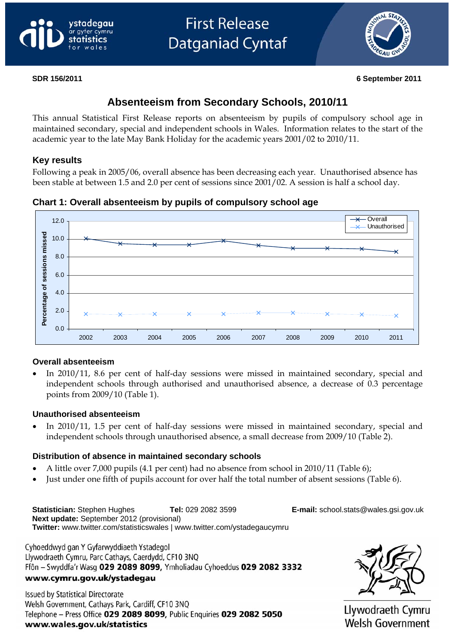



#### **SDR 156/2011 6 September 2011**

# **Absenteeism from Secondary Schools, 2010/11**

This annual Statistical First Release reports on absenteeism by pupils of compulsory school age in maintained secondary, special and independent schools in Wales. Information relates to the start of the academic year to the late May Bank Holiday for the academic years 2001/02 to 2010/11.

#### **Key results**

Following a peak in 2005/06, overall absence has been decreasing each year. Unauthorised absence has been stable at between 1.5 and 2.0 per cent of sessions since 2001/02. A session is half a school day.

**Chart 1: Overall absenteeism by pupils of compulsory school age** 



#### **Overall absenteeism**

• In 2010/11, 8.6 per cent of half-day sessions were missed in maintained secondary, special and independent schools through authorised and unauthorised absence, a decrease of 0.3 percentage points from 2009/10 (Table 1).

#### **Unauthorised absenteeism**

• In 2010/11, 1.5 per cent of half-day sessions were missed in maintained secondary, special and independent schools through unauthorised absence, a small decrease from 2009/10 (Table 2).

#### **Distribution of absence in maintained secondary schools**

- A little over 7,000 pupils (4.1 per cent) had no absence from school in 2010/11 (Table 6);
- Just under one fifth of pupils account for over half the total number of absent sessions (Table 6).

**Statistician:** Stephen Hughes **Tel:** 029 2082 3599 **E-mail:** [school.stats@wales.gsi.gov.uk](mailto:school.stats@wales.gsi.gov.uk)  **Next update:** September 2012 (provisional) **Twitter:** www.twitter.com/statisticswales | [www.twitter.com/ystadegaucymru](http://www.twitter.com/ystadegaucymru)

Cyhoeddwyd gan Y Gyfarwyddiaeth Ystadegol Llywodraeth Cymru, Parc Cathays, Caerdydd, CF10 3NQ Ffôn - Swyddfa'r Wasg 029 2089 8099, Ymholiadau Cyhoeddus 029 2082 3332 www.cymru.gov.uk/ystadegau

**Issued by Statistical Directorate** Welsh Government, Cathays Park, Cardiff, CF10 3NQ Telephone - Press Office 029 2089 8099, Public Enquiries 029 2082 5050 www.wales.gov.uk/statistics



Llywodraeth Cymru **Welsh Government**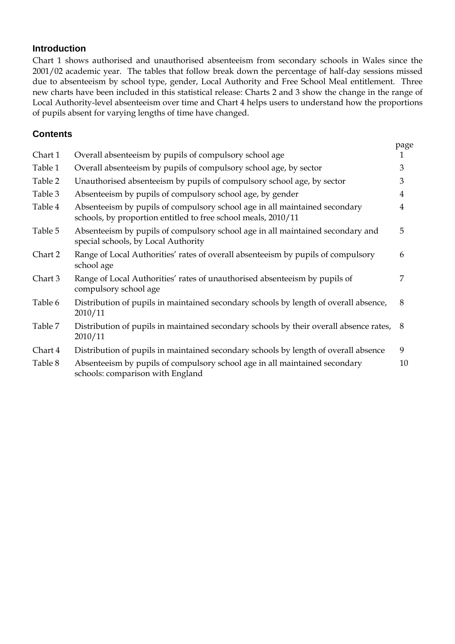#### **Introduction**

Chart 1 shows authorised and unauthorised absenteeism from secondary schools in Wales since the 2001/02 academic year. The tables that follow break down the percentage of half-day sessions missed due to absenteeism by school type, gender, Local Authority and Free School Meal entitlement. Three new charts have been included in this statistical release: Charts 2 and 3 show the change in the range of Local Authority-level absenteeism over time and Chart 4 helps users to understand how the proportions of pupils absent for varying lengths of time have changed.

#### **Contents**

|         |                                                                                                                                             | page           |
|---------|---------------------------------------------------------------------------------------------------------------------------------------------|----------------|
| Chart 1 | Overall absenteeism by pupils of compulsory school age                                                                                      | 1              |
| Table 1 | Overall absenteeism by pupils of compulsory school age, by sector                                                                           | 3              |
| Table 2 | Unauthorised absenteeism by pupils of compulsory school age, by sector                                                                      | 3              |
| Table 3 | Absenteeism by pupils of compulsory school age, by gender                                                                                   | 4              |
| Table 4 | Absenteeism by pupils of compulsory school age in all maintained secondary<br>schools, by proportion entitled to free school meals, 2010/11 | $\overline{4}$ |
| Table 5 | Absenteeism by pupils of compulsory school age in all maintained secondary and<br>special schools, by Local Authority                       | 5              |
| Chart 2 | Range of Local Authorities' rates of overall absenteeism by pupils of compulsory<br>school age                                              | 6              |
| Chart 3 | Range of Local Authorities' rates of unauthorised absenteeism by pupils of<br>compulsory school age                                         | 7              |
| Table 6 | Distribution of pupils in maintained secondary schools by length of overall absence,<br>2010/11                                             | 8              |
| Table 7 | Distribution of pupils in maintained secondary schools by their overall absence rates, 8<br>2010/11                                         |                |
| Chart 4 | Distribution of pupils in maintained secondary schools by length of overall absence                                                         | 9              |
| Table 8 | Absenteeism by pupils of compulsory school age in all maintained secondary<br>schools: comparison with England                              | 10             |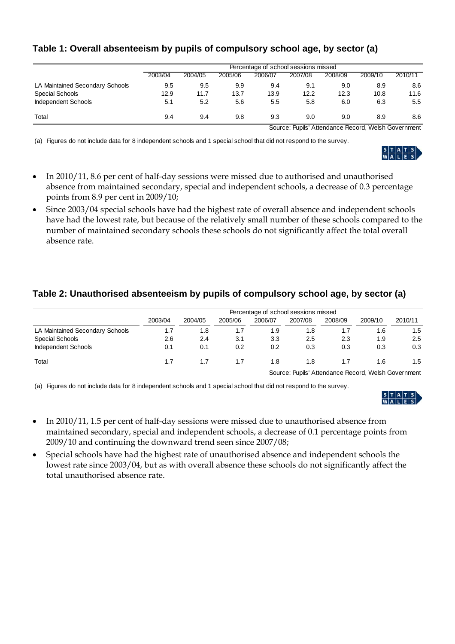|  | Table 1: Overall absenteeism by pupils of compulsory school age, by sector (a) |
|--|--------------------------------------------------------------------------------|
|--|--------------------------------------------------------------------------------|

|                                 | Percentage of school sessions missed |         |         |         |         |         |         |         |
|---------------------------------|--------------------------------------|---------|---------|---------|---------|---------|---------|---------|
|                                 | 2003/04                              | 2004/05 | 2005/06 | 2006/07 | 2007/08 | 2008/09 | 2009/10 | 2010/11 |
| LA Maintained Secondary Schools | 9.5                                  | 9.5     | 9.9     | 9.4     | 9.1     | 9.0     | 8.9     | 8.6     |
| Special Schools                 | 12.9                                 | 11.7    | 13.7    | 13.9    | 12.2    | 12.3    | 10.8    | 11.6    |
| <b>Independent Schools</b>      | 5.1                                  | 5.2     | 5.6     | 5.5     | 5.8     | 6.0     | 6.3     | 5.5     |
| Total                           | 9.4                                  | 9.4     | 9.8     | 9.3     | 9.0     | 9.0     | 8.9     | 8.6     |

Source: Pupils' Attendance Record, Welsh Government

(a) Figures do not include data for 8 independent schools and 1 special school that did not respond to the survey.



- In 2010/11, 8.6 per cent of half-day sessions were missed due to authorised and unauthorised absence from maintained secondary, special and independent schools, a decrease of 0.3 percentage points from 8.9 per cent in 2009/10;
- Since 2003/04 special schools have had the highest rate of overall absence and independent schools have had the lowest rate, but because of the relatively small number of these schools compared to the number of maintained secondary schools these schools do not significantly affect the total overall absence rate.

# **Table 2: Unauthorised absenteeism by pupils of compulsory school age, by sector (a)**

|                                 | Percentage of school sessions missed |         |         |         |         |         |         |         |
|---------------------------------|--------------------------------------|---------|---------|---------|---------|---------|---------|---------|
|                                 | 2003/04                              | 2004/05 | 2005/06 | 2006/07 | 2007/08 | 2008/09 | 2009/10 | 2010/11 |
| LA Maintained Secondary Schools | 1.7                                  | 8.،     |         | 1.9     | 1.8     | 1.7     | 1.6     | 1.5     |
| Special Schools                 | 2.6                                  | 2.4     | 3.1     | 3.3     | 2.5     | 2.3     | 1.9     | 2.5     |
| <b>Independent Schools</b>      | 0.1                                  | 0.1     | 0.2     | 0.2     | 0.3     | 0.3     | 0.3     | 0.3     |
| Total                           | 1.7                                  |         | 1.7     | 1.8     | 1.8     |         | 1.6     | 1.5     |

Source: Pupils' Attendance Record, Welsh Government

(a) Figures do not include data for 8 independent schools and 1 special school that did not respond to the survey.



- In 2010/11, 1.5 per cent of half-day sessions were missed due to unauthorised absence from maintained secondary, special and independent schools, a decrease of 0.1 percentage points from 2009/10 and continuing the downward trend seen since 2007/08;
- Special schools have had the highest rate of unauthorised absence and independent schools the lowest rate since 2003/04, but as with overall absence these schools do not significantly affect the total unauthorised absence rate.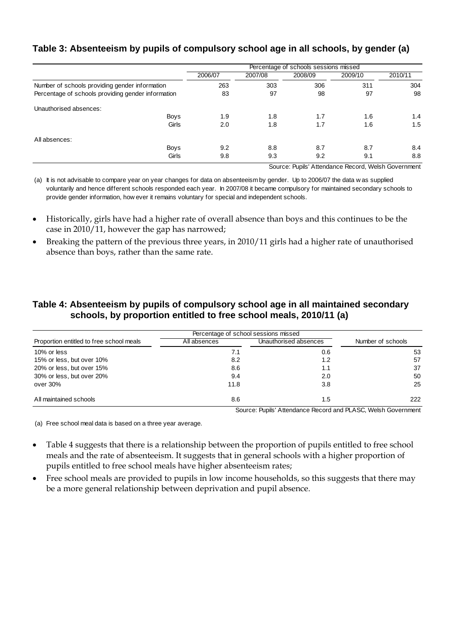#### **Table 3: Absenteeism by pupils of compulsory school age in all schools, by gender (a)**

|                                                    | Percentage of schools sessions missed |         |         |         |         |  |
|----------------------------------------------------|---------------------------------------|---------|---------|---------|---------|--|
|                                                    | 2006/07                               | 2007/08 | 2008/09 | 2009/10 | 2010/11 |  |
| Number of schools providing gender information     | 263                                   | 303     | 306     | 311     | 304     |  |
| Percentage of schools providing gender information | 83                                    | 97      | 98      | 97      | 98      |  |
| Unauthorised absences:                             |                                       |         |         |         |         |  |
| <b>Boys</b>                                        | 1.9                                   | 1.8     | 1.7     | 1.6     | 1.4     |  |
| Girls                                              | 2.0                                   | 1.8     | 1.7     | 1.6     | 1.5     |  |
| All absences:                                      |                                       |         |         |         |         |  |
| <b>Boys</b>                                        | 9.2                                   | 8.8     | 8.7     | 8.7     | 8.4     |  |
| Girls                                              | 9.8                                   | 9.3     | 9.2     | 9.1     | 8.8     |  |
|                                                    |                                       |         |         |         |         |  |

Source: Pupils' Attendance Record, Welsh Government

(a) It is not advisable to compare year on year changes for data on absenteeism by gender. Up to 2006/07 the data w as supplied voluntarily and hence different schools responded each year. In 2007/08 it became compulsory for maintained secondary schools to provide gender information, how ever it remains voluntary for special and independent schools.

- Historically, girls have had a higher rate of overall absence than boys and this continues to be the case in 2010/11, however the gap has narrowed;
- Breaking the pattern of the previous three years, in 2010/11 girls had a higher rate of unauthorised absence than boys, rather than the same rate.

#### **Table 4: Absenteeism by pupils of compulsory school age in all maintained secondary schools, by proportion entitled to free school meals, 2010/11 (a)**

|                                          | Percentage of school sessions missed |                       |                   |
|------------------------------------------|--------------------------------------|-----------------------|-------------------|
| Proportion entitled to free school meals | All absences                         | Unauthorised absences | Number of schools |
| 10% or less                              | 7.1                                  | 0.6                   | 53                |
| 15% or less, but over 10%                | 8.2                                  | 1.2                   | 57                |
| 20% or less, but over 15%                | 8.6                                  | 1.1                   | 37                |
| 30% or less, but over 20%                | 9.4                                  | 2.0                   | 50                |
| over 30%                                 | 11.8                                 | 3.8                   | 25                |
| All maintained schools                   | 8.6                                  | 1.5                   | 222               |

Source: Pupils' Attendance Record and PLASC, Welsh Government

(a) Free school meal data is based on a three year average.

- Table 4 suggests that there is a relationship between the proportion of pupils entitled to free school meals and the rate of absenteeism. It suggests that in general schools with a higher proportion of pupils entitled to free school meals have higher absenteeism rates;
- Free school meals are provided to pupils in low income households, so this suggests that there may be a more general relationship between deprivation and pupil absence.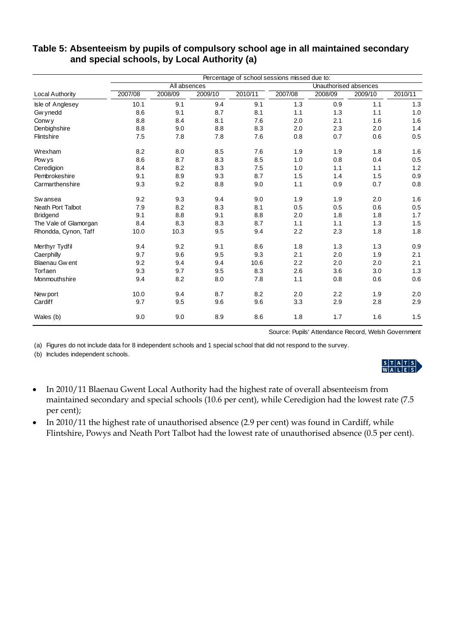|                       | Percentage of school sessions missed due to: |         |         |         |         |                       |         |         |  |
|-----------------------|----------------------------------------------|---------|---------|---------|---------|-----------------------|---------|---------|--|
|                       | All absences                                 |         |         |         |         | Unauthorised absences |         |         |  |
| Local Authority       | 2007/08                                      | 2008/09 | 2009/10 | 2010/11 | 2007/08 | 2008/09               | 2009/10 | 2010/11 |  |
| Isle of Anglesey      | 10.1                                         | 9.1     | 9.4     | 9.1     | 1.3     | 0.9                   | 1.1     | 1.3     |  |
| Gw ynedd              | 8.6                                          | 9.1     | 8.7     | 8.1     | 1.1     | 1.3                   | 1.1     | 1.0     |  |
| Conw y                | 8.8                                          | 8.4     | 8.1     | 7.6     | 2.0     | 2.1                   | 1.6     | 1.6     |  |
| Denbighshire          | 8.8                                          | 9.0     | 8.8     | 8.3     | 2.0     | 2.3                   | 2.0     | 1.4     |  |
| Flintshire            | 7.5                                          | 7.8     | 7.8     | 7.6     | 0.8     | 0.7                   | 0.6     | 0.5     |  |
| Wrexham               | 8.2                                          | 8.0     | 8.5     | 7.6     | 1.9     | 1.9                   | 1.8     | 1.6     |  |
| Pow ys                | 8.6                                          | 8.7     | 8.3     | 8.5     | 1.0     | 0.8                   | 0.4     | 0.5     |  |
| Ceredigion            | 8.4                                          | 8.2     | 8.3     | 7.5     | 1.0     | 1.1                   | 1.1     | 1.2     |  |
| Pembrokeshire         | 9.1                                          | 8.9     | 9.3     | 8.7     | 1.5     | 1.4                   | 1.5     | 0.9     |  |
| Carmarthenshire       | 9.3                                          | 9.2     | 8.8     | 9.0     | 1.1     | 0.9                   | 0.7     | 0.8     |  |
| Sw ansea              | 9.2                                          | 9.3     | 9.4     | 9.0     | 1.9     | 1.9                   | 2.0     | 1.6     |  |
| Neath Port Talbot     | 7.9                                          | 8.2     | 8.3     | 8.1     | 0.5     | 0.5                   | 0.6     | 0.5     |  |
| <b>Bridgend</b>       | 9.1                                          | 8.8     | 9.1     | 8.8     | 2.0     | 1.8                   | 1.8     | 1.7     |  |
| The Vale of Glamorgan | 8.4                                          | 8.3     | 8.3     | 8.7     | 1.1     | 1.1                   | 1.3     | 1.5     |  |
| Rhondda, Cynon, Taff  | 10.0                                         | 10.3    | 9.5     | 9.4     | 2.2     | 2.3                   | 1.8     | 1.8     |  |
| Merthyr Tydfil        | 9.4                                          | 9.2     | 9.1     | 8.6     | 1.8     | 1.3                   | 1.3     | 0.9     |  |
| Caerphilly            | 9.7                                          | 9.6     | 9.5     | 9.3     | 2.1     | 2.0                   | 1.9     | 2.1     |  |
| <b>Blaenau Gwent</b>  | 9.2                                          | 9.4     | 9.4     | 10.6    | 2.2     | 2.0                   | 2.0     | 2.1     |  |
| Torfaen               | 9.3                                          | 9.7     | 9.5     | 8.3     | 2.6     | 3.6                   | 3.0     | 1.3     |  |
| Monmouthshire         | 9.4                                          | 8.2     | 8.0     | 7.8     | 1.1     | 0.8                   | 0.6     | 0.6     |  |
| New port              | 10.0                                         | 9.4     | 8.7     | 8.2     | 2.0     | 2.2                   | 1.9     | 2.0     |  |
| Cardiff               | 9.7                                          | 9.5     | 9.6     | 9.6     | 3.3     | 2.9                   | 2.8     | 2.9     |  |
| Wales (b)             | 9.0                                          | 9.0     | 8.9     | 8.6     | 1.8     | 1.7                   | 1.6     | 1.5     |  |

#### **Table 5: Absenteeism by pupils of compulsory school age in all maintained secondary and special schools, by Local Authority (a)**

Source: Pupils' Attendance Record, Welsh Government

(a) Figures do not include data for 8 independent schools and 1 special school that did not respond to the survey.

(b) Includes independent schools.

- In 2010/11 Blaenau Gwent Local Authority had the highest rate of overall absenteeism from maintained secondary and special schools (10.6 per cent), while Ceredigion had the lowest rate (7.5 per cent);
- In 2010/11 the highest rate of unauthorised absence (2.9 per cent) was found in Cardiff, while Flintshire, Powys and Neath Port Talbot had the lowest rate of unauthorised absence (0.5 per cent).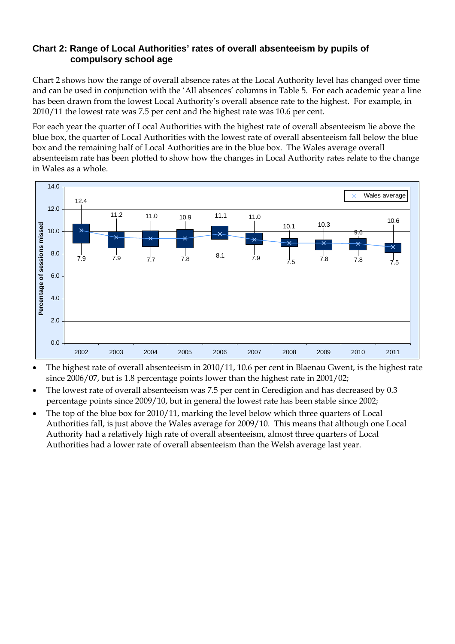#### **Chart 2: Range of Local Authorities' rates of overall absenteeism by pupils of compulsory school age**

Chart 2 shows how the range of overall absence rates at the Local Authority level has changed over time and can be used in conjunction with the 'All absences' columns in Table 5. For each academic year a line has been drawn from the lowest Local Authority's overall absence rate to the highest. For example, in 2010/11 the lowest rate was 7.5 per cent and the highest rate was 10.6 per cent.

For each year the quarter of Local Authorities with the highest rate of overall absenteeism lie above the blue box, the quarter of Local Authorities with the lowest rate of overall absenteeism fall below the blue box and the remaining half of Local Authorities are in the blue box. The Wales average overall absenteeism rate has been plotted to show how the changes in Local Authority rates relate to the change in Wales as a whole.



- The highest rate of overall absenteeism in 2010/11, 10.6 per cent in Blaenau Gwent, is the highest rate since 2006/07, but is 1.8 percentage points lower than the highest rate in 2001/02;
- The lowest rate of overall absenteeism was 7.5 per cent in Ceredigion and has decreased by 0.3 percentage points since 2009/10, but in general the lowest rate has been stable since 2002;
- The top of the blue box for 2010/11, marking the level below which three quarters of Local Authorities fall, is just above the Wales average for 2009/10. This means that although one Local Authority had a relatively high rate of overall absenteeism, almost three quarters of Local Authorities had a lower rate of overall absenteeism than the Welsh average last year.

6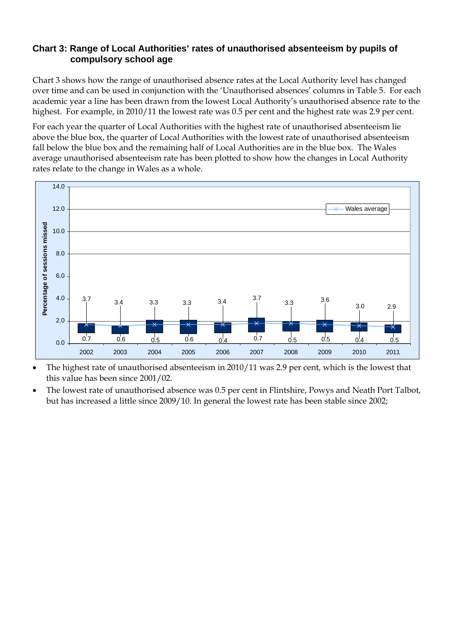#### **Chart 3: Range of Local Authorities' rates of unauthorised absenteeism by pupils of compulsory school age**

Chart 3 shows how the range of unauthorised absence rates at the Local Authority level has changed over time and can be used in conjunction with the 'Unauthorised absences' columns in Table 5. For each academic year a line has been drawn from the lowest Local Authority's unauthorised absence rate to the highest. For example, in 2010/11 the lowest rate was 0.5 per cent and the highest rate was 2.9 per cent.

For each year the quarter of Local Authorities with the highest rate of unauthorised absenteeism lie above the blue box, the quarter of Local Authorities with the lowest rate of unauthorised absenteeism fall below the blue box and the remaining half of Local Authorities are in the blue box. The Wales average unauthorised absenteeism rate has been plotted to show how the changes in Local Authority rates relate to the change in Wales as a whole.



- The highest rate of unauthorised absenteeism in 2010/11 was 2.9 per cent, which is the lowest that this value has been since 2001/02.
- The lowest rate of unauthorised absence was 0.5 per cent in Flintshire, Powys and Neath Port Talbot, but has increased a little since 2009/10. In general the lowest rate has been stable since 2002;

7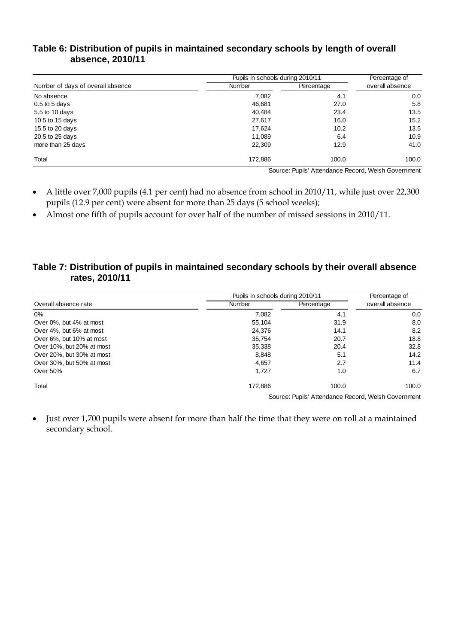| Table 6: Distribution of pupils in maintained secondary schools by length of overall |  |
|--------------------------------------------------------------------------------------|--|
| absence, 2010/11                                                                     |  |

|                                   | Pupils in schools during 2010/11 | Percentage of |                 |
|-----------------------------------|----------------------------------|---------------|-----------------|
| Number of days of overall absence | <b>Number</b>                    | Percentage    | overall absence |
| No absence                        | 7,082                            | 4.1           | 0.0             |
| $0.5$ to 5 days                   | 46,681                           | 27.0          | 5.8             |
| 5.5 to 10 days                    | 40,484                           | 23.4          | 13.5            |
| 10.5 to 15 days                   | 27,617                           | 16.0          | 15.2            |
| 15.5 to 20 days                   | 17,624                           | 10.2          | 13.5            |
| 20.5 to 25 days                   | 11,089                           | 6.4           | 10.9            |
| more than 25 days                 | 22,309                           | 12.9          | 41.0            |
| Total                             | 172,886                          | 100.0         | 100.0           |

Source: Pupils' Attendance Record, Welsh Government

- A little over 7,000 pupils (4.1 per cent) had no absence from school in 2010/11, while just over 22,300 pupils (12.9 per cent) were absent for more than 25 days (5 school weeks);
- Almost one fifth of pupils account for over half of the number of missed sessions in 2010/11.

#### **Table 7: Distribution of pupils in maintained secondary schools by their overall absence rates, 2010/11**

|                           | Pupils in schools during 2010/11 | Percentage of |                 |  |
|---------------------------|----------------------------------|---------------|-----------------|--|
| Overall absence rate      | <b>Number</b>                    | Percentage    | overall absence |  |
| $0\%$                     | 7,082                            | 4.1           | 0.0             |  |
| Over 0%, but 4% at most   | 55,104                           | 31.9          | 8.0             |  |
| Over 4%, but 6% at most   | 24,376                           | 14.1          | 8.2             |  |
| Over 6%, but 10% at most  | 35,754                           | 20.7          | 18.8            |  |
| Over 10%, but 20% at most | 35,338                           | 20.4          | 32.8            |  |
| Over 20%, but 30% at most | 8,848                            | 5.1           | 14.2            |  |
| Over 30%, but 50% at most | 4.657                            | 2.7           | 11.4            |  |
| Over 50%                  | 1.727                            | 1.0           | 6.7             |  |
| Total                     | 172,886                          | 100.0         | 100.0           |  |

Source: Pupils' Attendance Record, Welsh Government

• Just over 1,700 pupils were absent for more than half the time that they were on roll at a maintained secondary school.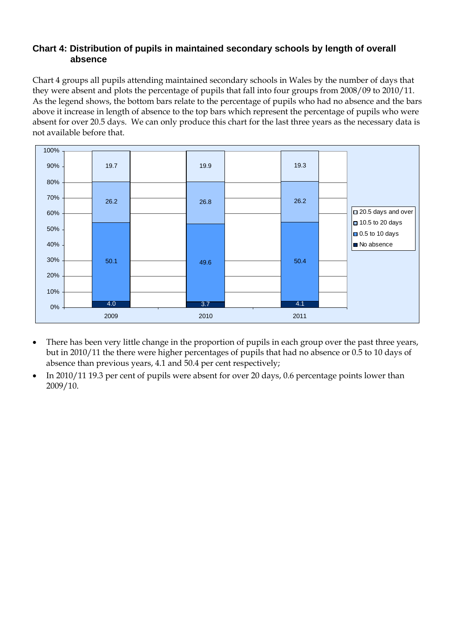#### **Chart 4: Distribution of pupils in maintained secondary schools by length of overall absence**

Chart 4 groups all pupils attending maintained secondary schools in Wales by the number of days that they were absent and plots the percentage of pupils that fall into four groups from 2008/09 to 2010/11. As the legend shows, the bottom bars relate to the percentage of pupils who had no absence and the bars above it increase in length of absence to the top bars which represent the percentage of pupils who were absent for over 20.5 days. We can only produce this chart for the last three years as the necessary data is not available before that.



- There has been very little change in the proportion of pupils in each group over the past three years, but in 2010/11 the there were higher percentages of pupils that had no absence or 0.5 to 10 days of absence than previous years, 4.1 and 50.4 per cent respectively;
- In 2010/11 19.3 per cent of pupils were absent for over 20 days, 0.6 percentage points lower than 2009/10.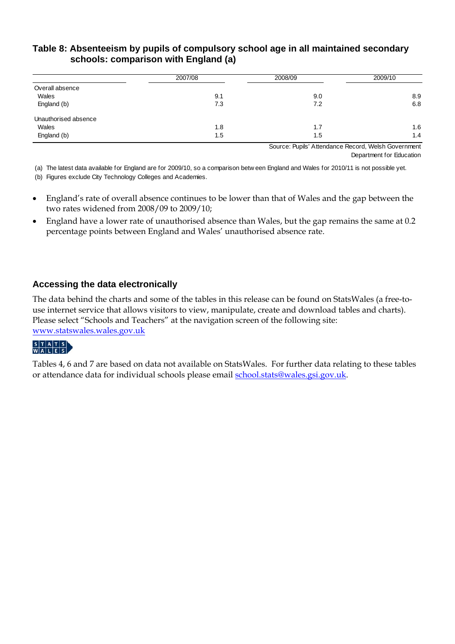#### **Table 8: Absenteeism by pupils of compulsory school age in all maintained secondary schools: comparison with England (a)**

|                      | 2007/08 | 2008/09 | 2009/10 |  |
|----------------------|---------|---------|---------|--|
| Overall absence      |         |         |         |  |
| Wales                | 9.1     | 9.0     | 8.9     |  |
| England (b)          | 7.3     | 7.2     | 6.8     |  |
| Unauthorised absence |         |         |         |  |
| Wales                | 1.8     | 1.7     | 1.6     |  |
| England (b)          | 1.5     | 1.5     | 1.4     |  |

Source: Pupils' Attendance Record, Welsh Government Department for Education

(a) The latest data available for England are for 2009/10, so a comparison betw een England and Wales for 2010/11 is not possible yet.

(b) Figures exclude City Technology Colleges and Academies.

- England's rate of overall absence continues to be lower than that of Wales and the gap between the two rates widened from 2008/09 to 2009/10;
- England have a lower rate of unauthorised absence than Wales, but the gap remains the same at 0.2 percentage points between England and Wales' unauthorised absence rate.

#### **Accessing the data electronically**

The data behind the charts and some of the tables in this release can be found on StatsWales (a free-touse internet service that allows visitors to view, manipulate, create and download tables and charts). Please select "Schools and Teachers" at the navigation screen of the following site: [www.statswales.wales.gov.uk](http://www.statswales.wales.gov.uk/index.htm)

# STATS<br>WALES

Tables 4, 6 and 7 are based on data not available on StatsWales. For further data relating to these tables or attendance data for individual schools please email [school.stats@wales.gsi.gov.uk.](mailto:school.stats@wales.gsi.gov.uk)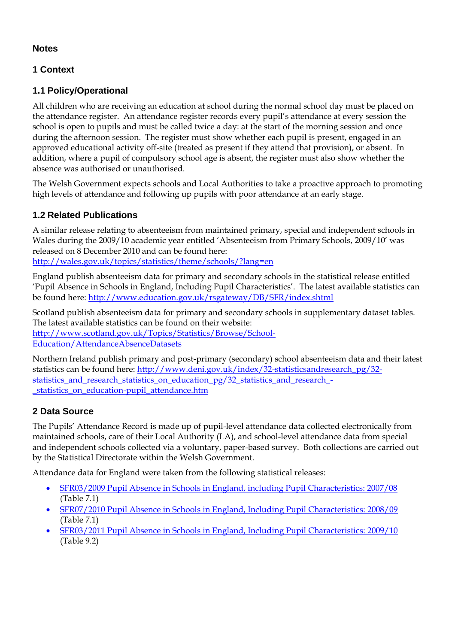# **Notes**

# **1 Context**

# **1.1 Policy/Operational**

All children who are receiving an education at school during the normal school day must be placed on the attendance register. An attendance register records every pupil's attendance at every session the school is open to pupils and must be called twice a day: at the start of the morning session and once during the afternoon session. The register must show whether each pupil is present, engaged in an approved educational activity off-site (treated as present if they attend that provision), or absent. In addition, where a pupil of compulsory school age is absent, the register must also show whether the absence was authorised or unauthorised.

The Welsh Government expects schools and Local Authorities to take a proactive approach to promoting high levels of attendance and following up pupils with poor attendance at an early stage.

# **1.2 Related Publications**

A similar release relating to absenteeism from maintained primary, special and independent schools in Wales during the 2009/10 academic year entitled 'Absenteeism from Primary Schools, 2009/10' was released on 8 December 2010 and can be found here:

<http://wales.gov.uk/topics/statistics/theme/schools/?lang=en>

England publish absenteeism data for primary and secondary schools in the statistical release entitled 'Pupil Absence in Schools in England, Including Pupil Characteristics'. The latest available statistics can be found here: <http://www.education.gov.uk/rsgateway/DB/SFR/index.shtml>

Scotland publish absenteeism data for primary and secondary schools in supplementary dataset tables. The latest available statistics can be found on their website: [http://www.scotland.gov.uk/Topics/Statistics/Browse/School-](http://www.scotland.gov.uk/Topics/Statistics/Browse/School-Education/AttendanceAbsenceDatasets)

[Education/AttendanceAbsenceDatasets](http://www.scotland.gov.uk/Topics/Statistics/Browse/School-Education/AttendanceAbsenceDatasets)

Northern Ireland publish primary and post-primary (secondary) school absenteeism data and their latest statistics can be found here: [http://www.deni.gov.uk/index/32-statisticsandresearch\\_pg/32](http://www.deni.gov.uk/index/32-statisticsandresearch_pg/32-statistics_and_research_statistics_on_education_pg/32_statistics_and_research_-_statistics_on_education-pupil_attendance.htm) [statistics\\_and\\_research\\_statistics\\_on\\_education\\_pg/32\\_statistics\\_and\\_research\\_](http://www.deni.gov.uk/index/32-statisticsandresearch_pg/32-statistics_and_research_statistics_on_education_pg/32_statistics_and_research_-_statistics_on_education-pupil_attendance.htm) statistics on education-pupil attendance.htm

# **2 Data Source**

The Pupils' Attendance Record is made up of pupil-level attendance data collected electronically from maintained schools, care of their Local Authority (LA), and school-level attendance data from special and independent schools collected via a voluntary, paper-based survey. Both collections are carried out by the Statistical Directorate within the Welsh Government.

Attendance data for England were taken from the following statistical releases:

- [SFR03/2009 Pupil Absence in Schools in England, including Pupil Characteristics: 2007/08](http://www.education.gov.uk/rsgateway/DB/SFR/s000832/index.shtml) (Table 7.1)
- [SFR07/2010 Pupil Absence in Schools in England, Including Pupil Characteristics: 2008/09](http://www.education.gov.uk/rsgateway/DB/SFR/s000918/index.shtml) (Table 7.1)
- [SFR03/2011 Pupil Absence in Schools in England, Including Pupil Characteristics: 2009/10](http://www.education.gov.uk/rsgateway/DB/SFR/s000994/index.shtml) (Table 9.2)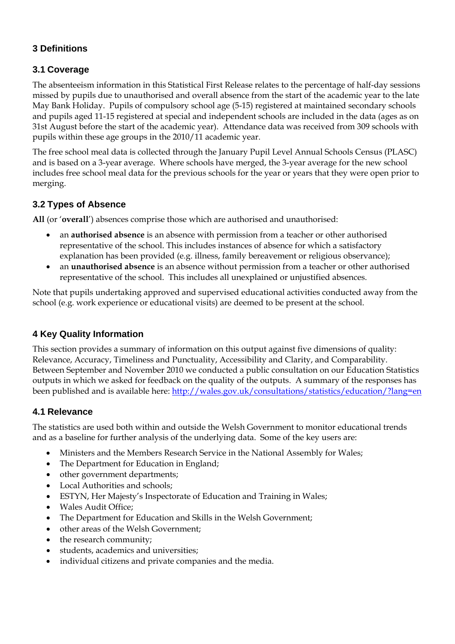# **3 Definitions**

# **3.1 Coverage**

The absenteeism information in this Statistical First Release relates to the percentage of half-day sessions missed by pupils due to unauthorised and overall absence from the start of the academic year to the late May Bank Holiday. Pupils of compulsory school age (5-15) registered at maintained secondary schools and pupils aged 11-15 registered at special and independent schools are included in the data (ages as on 31st August before the start of the academic year). Attendance data was received from 309 schools with pupils within these age groups in the 2010/11 academic year.

The free school meal data is collected through the January Pupil Level Annual Schools Census (PLASC) and is based on a 3-year average. Where schools have merged, the 3-year average for the new school includes free school meal data for the previous schools for the year or years that they were open prior to merging.

# **3.2 Types of Absence**

**All** (or '**overall**') absences comprise those which are authorised and unauthorised:

- an **authorised absence** is an absence with permission from a teacher or other authorised representative of the school. This includes instances of absence for which a satisfactory explanation has been provided (e.g. illness, family bereavement or religious observance);
- an **unauthorised absence** is an absence without permission from a teacher or other authorised representative of the school. This includes all unexplained or unjustified absences.

Note that pupils undertaking approved and supervised educational activities conducted away from the school (e.g. work experience or educational visits) are deemed to be present at the school.

### **4 Key Quality Information**

This section provides a summary of information on this output against five dimensions of quality: Relevance, Accuracy, Timeliness and Punctuality, Accessibility and Clarity, and Comparability. Between September and November 2010 we conducted a public consultation on our Education Statistics outputs in which we asked for feedback on the quality of the outputs. A summary of the responses has been published and is available here: <http://wales.gov.uk/consultations/statistics/education/?lang=en>

### **4.1 Relevance**

The statistics are used both within and outside the Welsh Government to monitor educational trends and as a baseline for further analysis of the underlying data. Some of the key users are:

- Ministers and the Members Research Service in the National Assembly for Wales;
- The Department for Education in England;
- other government departments:
- Local Authorities and schools;
- ESTYN, Her Majesty's Inspectorate of Education and Training in Wales;
- Wales Audit Office;
- The Department for Education and Skills in the Welsh Government;
- other areas of the Welsh Government;
- the research community;
- students, academics and universities;
- individual citizens and private companies and the media.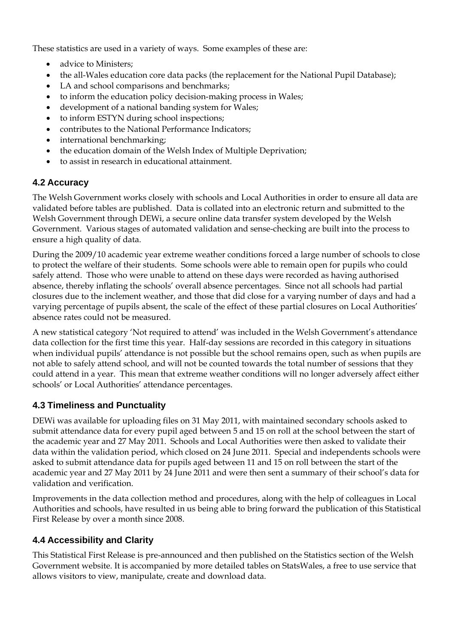These statistics are used in a variety of ways. Some examples of these are:

- advice to Ministers:
- the all-Wales education core data packs (the replacement for the National Pupil Database);
- LA and school comparisons and benchmarks;
- to inform the education policy decision-making process in Wales;
- development of a national banding system for Wales;
- to inform ESTYN during school inspections;
- contributes to the National Performance Indicators;
- international benchmarking;
- the education domain of the Welsh Index of Multiple Deprivation;
- to assist in research in educational attainment.

### **4.2 Accuracy**

The Welsh Government works closely with schools and Local Authorities in order to ensure all data are validated before tables are published. Data is collated into an electronic return and submitted to the Welsh Government through DEWi, a secure online data transfer system developed by the Welsh Government. Various stages of automated validation and sense-checking are built into the process to ensure a high quality of data.

During the 2009/10 academic year extreme weather conditions forced a large number of schools to close to protect the welfare of their students. Some schools were able to remain open for pupils who could safely attend. Those who were unable to attend on these days were recorded as having authorised absence, thereby inflating the schools' overall absence percentages. Since not all schools had partial closures due to the inclement weather, and those that did close for a varying number of days and had a varying percentage of pupils absent, the scale of the effect of these partial closures on Local Authorities' absence rates could not be measured.

A new statistical category 'Not required to attend' was included in the Welsh Government's attendance data collection for the first time this year. Half-day sessions are recorded in this category in situations when individual pupils' attendance is not possible but the school remains open, such as when pupils are not able to safely attend school, and will not be counted towards the total number of sessions that they could attend in a year. This mean that extreme weather conditions will no longer adversely affect either schools' or Local Authorities' attendance percentages.

### **4.3 Timeliness and Punctuality**

DEWi was available for uploading files on 31 May 2011, with maintained secondary schools asked to submit attendance data for every pupil aged between 5 and 15 on roll at the school between the start of the academic year and 27 May 2011. Schools and Local Authorities were then asked to validate their data within the validation period, which closed on 24 June 2011. Special and independents schools were asked to submit attendance data for pupils aged between 11 and 15 on roll between the start of the academic year and 27 May 2011 by 24 June 2011 and were then sent a summary of their school's data for validation and verification.

Improvements in the data collection method and procedures, along with the help of colleagues in Local Authorities and schools, have resulted in us being able to bring forward the publication of this Statistical First Release by over a month since 2008.

# **4.4 Accessibility and Clarity**

This Statistical First Release is pre-announced and then published on the Statistics section of the Welsh Government website. It is accompanied by more detailed tables on StatsWales, a free to use service that allows visitors to view, manipulate, create and download data.